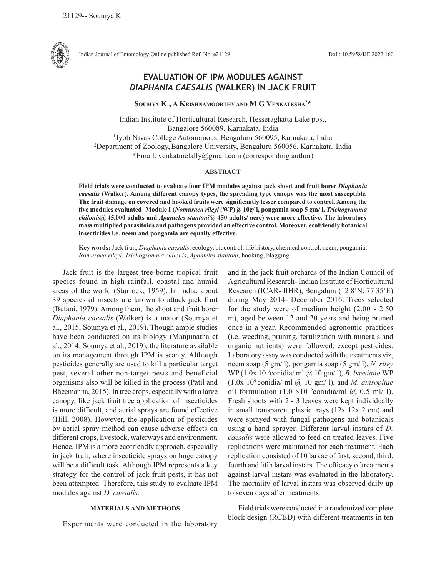

Indian Journal of Entomology Online published Ref. No. e21129 DoI.: 10.5958/IJE.2022.160

# **EVALUATION OF IPM MODULES AGAINST**  *DIAPHANIA CAESALIS* **(WALKER) IN JACK FRUIT**

**Soumya K1 , A Krishnamoorthy and M G Venkatesha2 \***

Indian Institute of Horticultural Research, Hesseraghatta Lake post, Bangalore 560089, Karnakata, India <sup>1</sup>Jyoti Nivas College Autonomous, Bengaluru 560095, Karnakata, India 2 Department of Zoology,Bangalore University, Bengaluru 560056, Karnakata, India \*Email: venkatmelally@gmail.com (corresponding author)

### **ABSTRACT**

**Field trials were conducted to evaluate four IPM modules against jack shoot and fruit borer** *Diaphania caesalis* **(Walker). Among different canopy types, the spreading type canopy was the most susceptible***.*  **The fruit damage on covered and hooked fruits were significantly lesser compared to control. Among the five modules evaluated- Module I (***Nomuraea rileyi* **(WP)@ 10g/ l, pongamia soap 5 gm/ l,** *Trichogramma chilonis@* **45,000 adults and** *Apanteles stantoni***@ 450 adults/ acre) were more effective. The laboratory mass multiplied parasitoids and pathogens provided an effective control. Moreover, ecofriendly botanical insecticides i.e. neem and pongamia are equally effective.**

**Key words:** Jack fruit, *Diaphania caesalis*, ecology, biocontrol, life history, chemical control, neem, pongamia, *Nomuraea rileyi*, *Trichogramma chilonis*, *Apanteles stantoni*, hooking, blagging

Jack fruit is the largest tree-borne tropical fruit species found in high rainfall, coastal and humid areas of the world (Sturrock, 1959). In India, about 39 species of insects are known to attack jack fruit (Butani, 1979). Among them, the shoot and fruit borer *Diaphania caesalis* (Walker) is a major (Soumya et al., 2015; Soumya et al., 2019). Though ample studies have been conducted on its biology (Manjunatha et al., 2014; Soumya et al., 2019), the literature available on its management through IPM is scanty. Although pesticides generally are used to kill a particular target pest, several other non-target pests and beneficial organisms also will be killed in the process (Patil and Bheemanna, 2015). In tree crops, especially with a large canopy, like jack fruit tree application of insecticides is more difficult, and aerial sprays are found effective (Hill, 2008). However, the application of pesticides by aerial spray method can cause adverse effects on different crops, livestock, waterways and environment. Hence, IPM is a more ecofriendly approach, especially in jack fruit, where insecticide sprays on huge canopy will be a difficult task. Although IPM represents a key strategy for the control of jack fruit pests, it has not been attempted. Therefore, this study to evaluate IPM modules against *D. caesalis.* 

## **MATERIALS AND METHODS**

Experiments were conducted in the laboratory

and in the jack fruit orchards of the Indian Council of Agricultural Research- Indian Institute of Horticultural Research (ICAR- IIHR), Bengaluru (12 8'N; 77 35'E) during May 2014- December 2016. Trees selected for the study were of medium height (2.00 - 2.50 m), aged between 12 and 20 years and being pruned once in a year. Recommended agronomic practices (i.e. weeding, pruning, fertilization with minerals and organic nutrients) were followed, except pesticides. Laboratory assay was conducted with the treatments viz, neem soap (5 gm/ l), pongamia soap (5 gm/ l), *N. riley*  WP (1.0x 10 9 conidia/ ml @ 10 gm/ l)*, B. bassiana* WP  $(1.0x\ 10^9\text{ conidia/ml}$  ( $\overline{a}$ ), 10 gm/ l), and *M. anisopliae* oil formulation  $(1.0 \times 10^{9} \text{condia/ml } @ 0.5 \text{ ml/ } 1)$ . Fresh shoots with 2 - 3 leaves were kept individually in small transparent plastic trays (12x 12x 2 cm) and were sprayed with fungal pathogens and botanicals using a hand sprayer. Different larval instars of *D. caesalis* were allowed to feed on treated leaves. Five replications were maintained for each treatment. Each replication consisted of 10 larvae of first, second, third, fourth and fifth larval instars. The efficacy of treatments against larval instars was evaluated in the laboratory. The mortality of larval instars was observed daily up to seven days after treatments.

Field trials were conducted in a randomized complete block design (RCBD) with different treatments in ten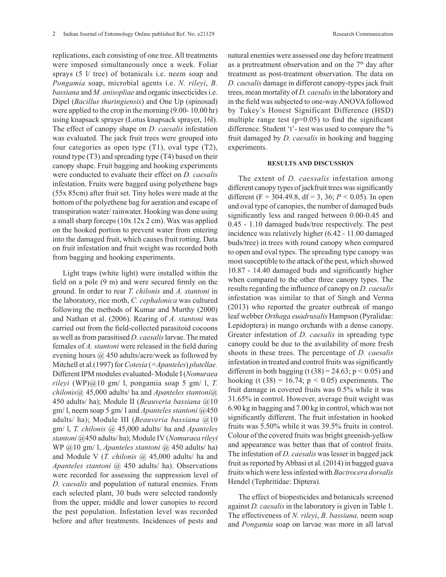replications, each consisting of one tree. All treatments were imposed simultaneously once a week. Foliar sprays (5 l/ tree) of botanicals i.e. neem soap and *Pongamia* soap, microbial agents i.e. *N. rileyi*, *B. bassiana* and *M. anisopliae* and organic insecticides i.e. Dipel (*Bacillus thuringiensis*) and One Up (spinosad) were applied to the crop in the morning (9.00- 10.00 hr) using knapsack sprayer (Lotus knapsack sprayer, 16l). The effect of canopy shape on *D. caesalis* infestation was evaluated. The jack fruit trees were grouped into four categories as open type  $(T1)$ , oval type  $(T2)$ , round type (T3) and spreading type (T4) based on their canopy shape. Fruit bagging and hooking experiments were conducted to evaluate their effect on *D. caesalis* infestation. Fruits were bagged using polyethene bags (55x 85cm) after fruit set. Tiny holes were made at the bottom of the polyethene bag for aeration and escape of transpiration water/ rainwater. Hooking was done using a small sharp forceps (10x 12x 2 cm). Wax was applied on the hooked portion to prevent water from entering into the damaged fruit, which causes fruit rotting. Data on fruit infestation and fruit weight was recorded both from bagging and hooking experiments.

Light traps (white light) were installed within the field on a pole (9 m) and were secured firmly on the ground. In order to rear *T. chilonis* and *A. stantoni* in the laboratory, rice moth, *C. cephalonica* was cultured following the methods of Kumar and Murthy (2000) and Nathan et al. (2006). Rearing of *A. stantoni* was carried out from the field-collected parasitoid cocoons as well as from parasitised *D. caesalis* larvae. The mated females of *A. stantoni* were released in the field during evening hours @ 450 adults/acre/week as followed by Mitchell et al.(1997) for *Cotesia* (*=Apanteles*) *plutellae.*  Different IPM modules evaluated- Module I (*Nomuraea rileyi* (WP)@10 gm/ l, pongamia soap 5 gm/ l, *T. chilonis@* 45,000 adults/ ha and *Apanteles stantoni*@ 450 adults/ ha); Module II (*Beauveria bassiana* @10 gm/ l, neem soap 5 gm/ l and *Apanteles stantoni* @450 adults/ ha); Module III (*Beauveria bassiana* @10 gm/ l, *T. chilonis @* 45,000 adults/ ha and *Apanteles stantoni* @450 adults/ ha); Module IV (*Nomuraea rileyi* WP @10 gm/ l, *Apanteles stantoni* @ 450 adults/ ha) and Module V (*T. chilonis @* 45,000 adults/ ha and *Apanteles stantoni* @ 450 adults/ ha). Observations were recorded for assessing the suppression level of *D. caesalis* and population of natural enemies. From each selected plant, 30 buds were selected randomly from the upper, middle and lower canopies to record the pest population. Infestation level was recorded before and after treatments. Incidences of pests and

natural enemies were assessed one day before treatment as a pretreatment observation and on the  $7<sup>th</sup>$  day after treatment as post-treatment observation. The data on *D. caesalis* damage in different canopy-types jack fruit trees, mean mortality of *D. caesalis* in the laboratory and in the field was subjected to one-way ANOVA followed by Tukey's Honest Significant Difference (HSD) multiple range test  $(p=0.05)$  to find the significant difference. Student 't'- test was used to compare the % fruit damaged by *D. caesalis* in hooking and bagging experiments.

#### **RESULTS AND DISCUSSION**

The extent of *D. caessalis* infestation among different canopy types of jackfruit trees was significantly different (F = 304.49.8, df = 3, 36;  $P < 0.05$ ). In open and oval type of canopies, the number of damaged buds significantly less and ranged between 0.00-0.45 and 0.45 - 1.10 damaged buds/tree respectively. The pest incidence was relatively higher (6.42 - 11.00 damaged buds/tree) in trees with round canopy when compared to open and oval types. The spreading type canopy was most susceptible to the attack of the pest, which showed 10.87 - 14.40 damaged buds and significantly higher when compared to the other three canopy types. The results regarding the influence of canopy on *D. caesalis* infestation was similar to that of Singh and Verma (2013) who reported the greater outbreak of mango leaf webber *Orthaga euadrusalis* Hampson (Pyralidae: Lepidoptera) in mango orchards with a dense canopy. Greater infestation of *D. caesalis* in spreading type canopy could be due to the availability of more fresh shoots in these trees. The percentage of *D. caesalis* infestation in treated and control fruits was significantly different in both bagging (t  $(38) = 24.63$ ;  $p < 0.05$ ) and hooking (t  $(38) = 16.74$ ;  $p < 0.05$ ) experiments. The fruit damage in covered fruits was 0.5% while it was 31.65% in control. However, average fruit weight was 6.90 kg in bagging and 7.00 kg in control, which was not significantly different. The fruit infestation in hooked fruits was 5.50% while it was 39.5% fruits in control. Colour of the covered fruits was bright greenish-yellow and appearance was better than that of control fruits. The infestation of *D. caesalis* was lesser in bagged jack fruit as reported by Abbasi et al. (2014) in bagged guava fruits which were less infested with *Bactrocera dorsalis*  Hendel (Tephritidae: Diptera).

The effect of biopesticides and botanicals screened against *D. caesalis* in the laboratory is given in Table 1. The effectiveness of *N. rileyi*, *B. bassiana,* neem soap and *Pongamia* soap on larvae was more in all larval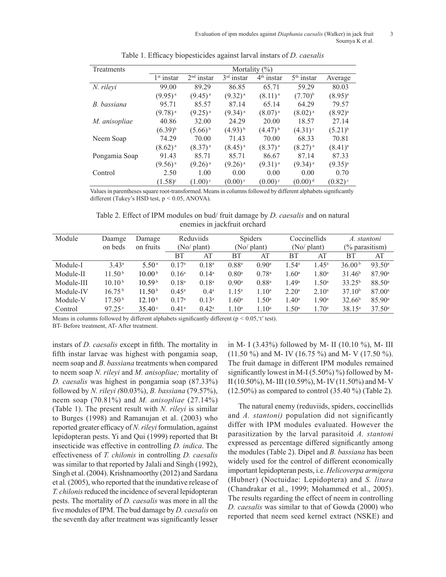| Treatments    | Mortality $(\% )$ |                        |                       |                       |                       |                       |  |  |  |
|---------------|-------------------|------------------------|-----------------------|-----------------------|-----------------------|-----------------------|--|--|--|
|               | $1st$ instar      | 2 <sup>nd</sup> instar | $3rd$ instar          | $4th$ instar          | $5th$ instar          | Average               |  |  |  |
| N. rileyi     | 99.00             | 89.29                  | 86.85                 | 65.71                 | 59.29                 | 80.03                 |  |  |  |
|               | $(9.95)^{a}$      | $(9.45)^{a}$           | $(9.32)^{a}$          | $(8.11)^{a}$          | $(7.70)^{b}$          | $(8.95)^{a}$          |  |  |  |
| B. bassiana   | 95.71             | 85.57                  | 87.14                 | 65.14                 | 64.29                 | 79.57                 |  |  |  |
|               | $(9.78)^{a}$      | $(9.25)^{a}$           | $(9.34)$ <sup>a</sup> | $(8.07)^{a}$          | $(8.02)^{a}$          | $(8.92)^{a}$          |  |  |  |
| M. anisopliae | 40.86             | 32.00                  | 24.29                 | 20.00                 | 18.57                 | 27.14                 |  |  |  |
|               | $(6.39)^{b}$      | $(5.66)^{b}$           | $(4.93)^{b}$          | $(4.47)^{b}$          | $(4.31)$ <sup>c</sup> | $(5.21)^{b}$          |  |  |  |
| Neem Soap     | 74.29             | 70.00                  | 71.43                 | 70.00                 | 68.33                 | 70.81                 |  |  |  |
|               | $(8.62)^{a}$      | $(8.37)^{a}$           | $(8.45)^{a}$          | $(8.37)^{a}$          | $(8.27)^{a}$          | $(8.41)^{a}$          |  |  |  |
| Pongamia Soap | 91.43             | 85.71                  | 85.71                 | 86.67                 | 87.14                 | 87.33                 |  |  |  |
|               | $(9.56)^{a}$      | $(9.26)$ <sup>a</sup>  | $(9.26)^{a}$          | $(9.31)^{a}$          | $(9.34)$ <sup>a</sup> | $(9.35)^{a}$          |  |  |  |
| Control       | 2.50              | 1.00                   | 0.00                  | 0.00                  | 0.00                  | 0.70                  |  |  |  |
|               | $(1.58)^c$        | $(1.00)$ <sup>c</sup>  | $(0.00)$ <sup>c</sup> | $(0.00)$ <sup>c</sup> | $(0.00)^d$            | $(0.82)$ <sup>c</sup> |  |  |  |

Table 1. Efficacy biopesticides against larval instars of *D. caesalis*

Values in parentheses square root-transformed. Means in columns followed by different alphabets significantly different (Tukey's HSD test, p *˂* 0.05, ANOVA).

Table 2. Effect of IPM modules on bud/ fruit damage by *D. caesalis* and on natural enemies in jackfruit orchard

| Module     | Daamge             | Damage             | Reduviids         |                | <b>Spiders</b>      |                     | Coccinellids        |                   | A. stantoni        |                      |
|------------|--------------------|--------------------|-------------------|----------------|---------------------|---------------------|---------------------|-------------------|--------------------|----------------------|
|            | on beds            | on fruits          | (No/ plant)       |                | $(No/\text{plant})$ |                     | $(No/\text{plant})$ |                   | $(\%$ parasitism)  |                      |
|            |                    |                    | BТ                | AT             | ВT                  | AT                  | BT                  | AT                | BT                 | AT                   |
| Module-I   | $3.43^a$           | 5.50 <sup>a</sup>  | 0.17 <sup>a</sup> | $0.18^{a}$     | $0.88^{a}$          | $0.90$ <sup>a</sup> | $1.54^{\circ}$      | 45 <sup>a</sup>   | 36.00 <sup>b</sup> | 93.50 <sup>a</sup>   |
| Module-II  | 11.50 <sup>b</sup> | 10.00 <sup>b</sup> | $0.16^{\rm a}$    | $0.14^a$       | 0.80 <sup>a</sup>   | 0.78 <sup>a</sup>   | 1.60 <sup>a</sup>   | 1.80 <sup>a</sup> | 31.46 <sup>b</sup> | $87.90$ <sup>a</sup> |
| Module-III | 10.10 <sup>b</sup> | 10.59 <sup>b</sup> | $0.18^{a}$        | $0.18^{a}$     | $0.90$ <sup>a</sup> | $0.88^{a}$          | 1.49 <sup>a</sup>   | 1.50 <sup>a</sup> | $33.25^{b}$        | 88.50 <sup>a</sup>   |
| Module-IV  | 16.75 <sup>b</sup> | 11.50 <sup>b</sup> | $0.45^{\rm a}$    | $0.4^{\rm a}$  | $1.15^{\circ}$      | 1.10 <sup>a</sup>   | 2.20 <sup>a</sup>   | $2.10^a$          | 37.10 <sup>b</sup> | 87.00 <sup>a</sup>   |
| Module-V   | 17.50 <sup>b</sup> | 12.10 <sup>b</sup> | 0.17 <sup>a</sup> | $0.13^a$       | 1.60 <sup>a</sup>   | 1.50 <sup>a</sup>   | $1.40^{\rm a}$      | 1.90 <sup>a</sup> | 32.66 <sup>b</sup> | 85.90a               |
| Control    | 97.25              | $35.40^{\circ}$    | $0.41^{\rm a}$    | $0.42^{\rm a}$ | 1.10 <sup>a</sup>   | $1.10^{\text{a}}$   | $1.50^{\circ}$      | $1.70^{\circ}$    | $38.15^a$          | $37.50^{\circ}$      |

Means in columns followed by different alphabets significantly different ( $p < 0.05$ , 't' test).

BT- Before treatment, AT- After treatment.

instars of *D. caesalis* except in fifth. The mortality in fifth instar larvae was highest with pongamia soap, neem soap and *B. bassiana* treatments when compared to neem soap *N. rileyi* and *M. anisopliae;* mortality of *D. caesalis* was highest in pongamia soap (87.33%) followed by *N. rileyi (*80.03%), *B. bassiana* (79.57%), neem soap (70.81%) and *M. anisopliae* (27.14%) (Table 1). The present result with *N. rileyi* is similar to Burges (1998) and Ramanujan et al. (2003) who reported greater efficacy of *N. rileyi* formulation, against lepidopteran pests. Yi and Qui (1999) reported that Bt insecticide was effective in controlling *D. indica*. The effectiveness of *T. chilonis* in controlling *D. caesalis* was similar to that reported by Jalali and Singh (1992), Singh et al. (2004). Krishnamoorthy (2012) and Sardana et al*.* (2005), who reported that the inundative release of *T. chilonis* reduced the incidence of several lepidopteran pests. The mortality of *D. caesalis* was more in all the five modules of IPM. The bud damage by *D. caesalis* on the seventh day after treatment was significantly lesser

in M- I (3.43%) followed by M- II (10.10 %), M- III (11.50 %) and M- IV (16.75 %) and M- V (17.50 %). The fruit damage in different IPM modules remained significantly lowest in M-I (5.50%) %) followed by M-II (10.50%), M- III (10.59%), M- IV (11.50%) and M- V (12.50%) as compared to control (35.40 %) (Table 2).

The natural enemy (reduviids, spiders, coccinellids and *A. stantoni)* population did not significantly differ with IPM modules evaluated. However the parasitization by the larval parasitoid *A. stantoni* expressed as percentage differed significantly among the modules (Table 2). Dipel and *B. bassiana* has been widely used for the control of different economically important lepidopteran pests, i.e. *Helicoverpa armigera*  (Hubner) (Noctuidae: Lepidoptera) and *S. litura* (Chandrakar et al., 1999; Mohammed et al., 2005). The results regarding the effect of neem in controlling *D. caesalis* was similar to that of Gowda (2000) who reported that neem seed kernel extract (NSKE) and